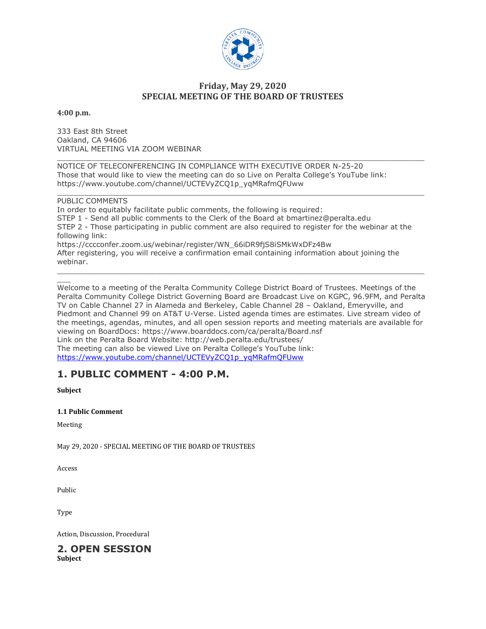

### **Friday, May 29, 2020 SPECIAL MEETING OF THE BOARD OF TRUSTEES**

**4:00 p.m.**

333 East 8th Street Oakland, CA 94606 VIRTUAL MEETING VIA ZOOM WEBINAR

 $\Box$ NOTICE OF TELECONFERENCING IN COMPLIANCE WITH EXECUTIVE ORDER N-25-20 Those that would like to view the meeting can do so Live on Peralta College's YouTube link: https://www.youtube.com/channel/UCTEVyZCQ1p\_yqMRafmQFUww

\_\_\_\_\_\_\_\_\_\_\_\_\_\_\_\_\_\_\_\_\_\_\_\_\_\_\_\_\_\_\_\_\_\_\_\_\_\_\_\_\_\_\_\_\_\_\_\_\_\_\_\_\_\_\_\_\_\_\_\_\_\_\_\_\_\_\_\_\_\_\_\_\_\_\_\_\_\_\_\_\_ PUBLIC COMMENTS In order to equitably facilitate public comments, the following is required: STEP 1 - Send all public comments to the Clerk of the Board at bmartinez@peralta.edu STEP 2 - Those participating in public comment are also required to register for the webinar at the following link: https://cccconfer.zoom.us/webinar/register/WN\_66iDR9fjS8iSMkWxDFz4Bw After registering, you will receive a confirmation email containing information about joining the webinar. \_\_\_\_\_\_\_\_\_\_\_\_\_\_\_\_\_\_\_\_\_\_\_\_\_\_\_\_\_\_\_\_\_\_\_\_\_\_\_\_\_\_\_\_\_\_\_\_\_\_\_\_\_\_\_\_\_\_\_\_\_\_\_\_\_\_\_\_\_\_\_\_\_\_\_\_\_\_\_\_\_

\_\_\_ Welcome to a meeting of the Peralta Community College District Board of Trustees. Meetings of the Peralta Community College District Governing Board are Broadcast Live on KGPC, 96.9FM, and Peralta TV on Cable Channel 27 in Alameda and Berkeley, Cable Channel 28 – Oakland, Emeryville, and Piedmont and Channel 99 on AT&T U-Verse. Listed agenda times are estimates. Live stream video of the meetings, agendas, minutes, and all open session reports and meeting materials are available for viewing on BoardDocs: https://www.boarddocs.com/ca/peralta/Board.nsf Link on the Peralta Board Website: http://web.peralta.edu/trustees/ The meeting can also be viewed Live on Peralta College's YouTube link: [https://www.youtube.com/channel/UCTEVyZCQ1p\\_yqMRafmQFUww](https://www.youtube.com/channel/UCTEVyZCQ1p_yqMRafmQFUww)

# **1. PUBLIC COMMENT - 4:00 P.M.**

**Subject**

#### **1.1 Public Comment**

Meeting

May 29, 2020 - SPECIAL MEETING OF THE BOARD OF TRUSTEES

Access

Public

Type

Action, Discussion, Procedural

# **2. OPEN SESSION**

**Subject**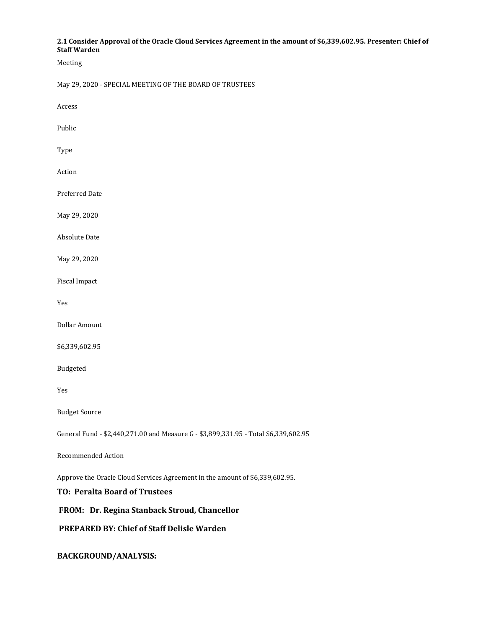#### **2.1 Consider Approval of the Oracle Cloud Services Agreement in the amount of \$6,339,602.95. Presenter: Chief of Staff Warden**

Meeting

May 29, 2020 - SPECIAL MEETING OF THE BOARD OF TRUSTEES

Access

Public

Type

Action

Preferred Date

May 29, 2020

Absolute Date

May 29, 2020

Fiscal Impact

Yes

Dollar Amount

\$6,339,602.95

Budgeted

Yes

Budget Source

General Fund - \$2,440,271.00 and Measure G - \$3,899,331.95 - Total \$6,339,602.95

Recommended Action

Approve the Oracle Cloud Services Agreement in the amount of \$6,339,602.95.

**TO: Peralta Board of Trustees**

**FROM: Dr. Regina Stanback Stroud, Chancellor**

**PREPARED BY: Chief of Staff Delisle Warden**

**BACKGROUND/ANALYSIS:**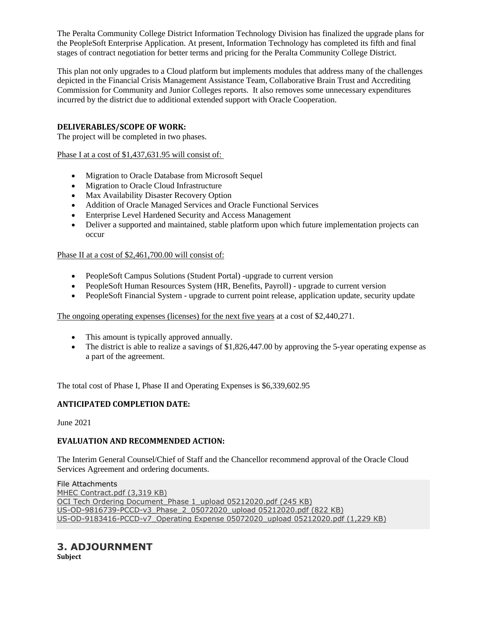The Peralta Community College District Information Technology Division has finalized the upgrade plans for the PeopleSoft Enterprise Application. At present, Information Technology has completed its fifth and final stages of contract negotiation for better terms and pricing for the Peralta Community College District.

This plan not only upgrades to a Cloud platform but implements modules that address many of the challenges depicted in the Financial Crisis Management Assistance Team, Collaborative Brain Trust and Accrediting Commission for Community and Junior Colleges reports. It also removes some unnecessary expenditures incurred by the district due to additional extended support with Oracle Cooperation.

#### **DELIVERABLES/SCOPE OF WORK:**

The project will be completed in two phases.

Phase I at a cost of \$1,437,631.95 will consist of:

- Migration to Oracle Database from Microsoft Sequel
- Migration to Oracle Cloud Infrastructure
- Max Availability Disaster Recovery Option
- Addition of Oracle Managed Services and Oracle Functional Services
- Enterprise Level Hardened Security and Access Management
- Deliver a supported and maintained, stable platform upon which future implementation projects can occur

#### Phase II at a cost of \$2,461,700.00 will consist of:

- PeopleSoft Campus Solutions (Student Portal) -upgrade to current version
- PeopleSoft Human Resources System (HR, Benefits, Payroll) upgrade to current version
- PeopleSoft Financial System upgrade to current point release, application update, security update

The ongoing operating expenses (licenses) for the next five years at a cost of \$2,440,271.

- This amount is typically approved annually.
- The district is able to realize a savings of \$1,826,447.00 by approving the 5-year operating expense as a part of the agreement.

The total cost of Phase I, Phase II and Operating Expenses is \$6,339,602.95

#### **ANTICIPATED COMPLETION DATE:**

June 2021

#### **EVALUATION AND RECOMMENDED ACTION:**

The Interim General Counsel/Chief of Staff and the Chancellor recommend approval of the Oracle Cloud Services Agreement and ordering documents.

File Attachments MHEC [Contract.pdf](https://go.boarddocs.com/ca/peralta/Board.nsf/files/BQ2SFQ727C09/$file/MHEC%20Contract.pdf) (3,319 KB) OCI Tech Ordering [Document\\_Phase](https://go.boarddocs.com/ca/peralta/Board.nsf/files/BQ2SFT727C0D/$file/OCI%20Tech%20Ordering%20Document_Phase%201_upload%2005212020.pdf) 1\_upload 05212020.pdf (245 KB) [US-OD-9816739-PCCD-v3\\_Phase\\_2\\_05072020\\_upload](https://go.boarddocs.com/ca/peralta/Board.nsf/files/BQ2SFW727C0F/$file/US-OD-9816739-PCCD-v3_Phase_2_05072020_upload%2005212020.pdf) 05212020.pdf (822 KB) [US-OD-9183416-PCCD-v7\\_Operating](https://go.boarddocs.com/ca/peralta/Board.nsf/files/BQ2SFZ727C13/$file/US-OD-9183416-PCCD-v7_Operating%20Expense%2005072020_upload%2005212020.pdf) Expense 05072020\_upload 05212020.pdf (1,229 KB)

## **3. ADJOURNMENT**

**Subject**